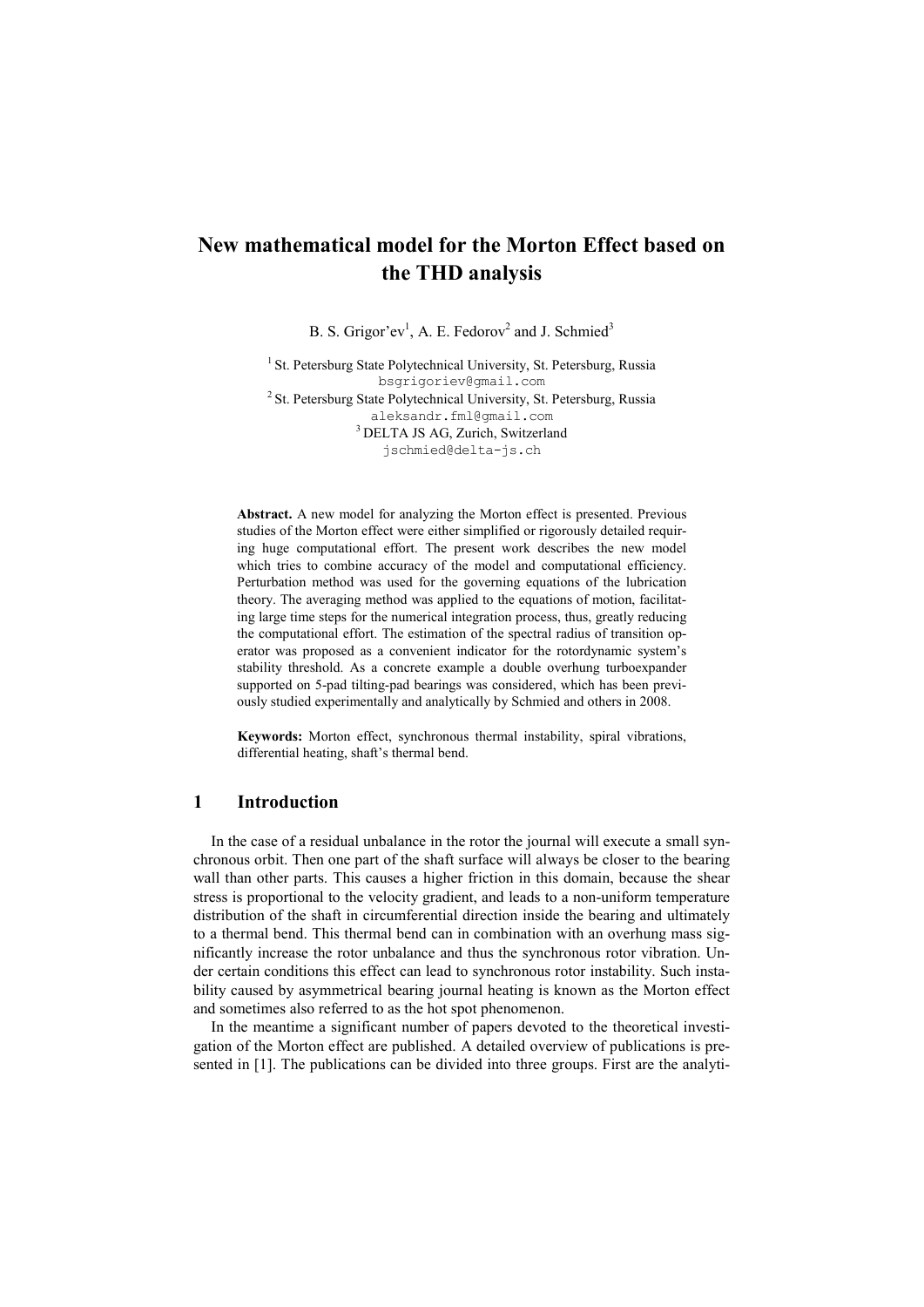# **New mathematical model for the Morton Effect based on the THD analysis**

B. S. Grigor'ev<sup>1</sup>, A. E. Fedorov<sup>2</sup> and J. Schmied<sup>3</sup>

<sup>1</sup> St. Petersburg State Polytechnical University, St. Petersburg, Russia<br>bsgrigoriev@gmail.com  $h^2$  St. Petersburg State Polytechnical University, St. Petersburg, Russia [aleksandr.fml@gmail.com](mailto:aleksandr.fml@gmail.com) 3 DELTA JS AG, Zurich, Switzerland [jschmied@delta-js.ch](mailto:jschmied@delta-js.ch)

**Abstract.** A new model for analyzing the Morton effect is presented. Previous studies of the Morton effect were either simplified or rigorously detailed requiring huge computational effort. The present work describes the new model which tries to combine accuracy of the model and computational efficiency. Perturbation method was used for the governing equations of the lubrication theory. The averaging method was applied to the equations of motion, facilitating large time steps for the numerical integration process, thus, greatly reducing the computational effort. The estimation of the spectral radius of transition operator was proposed as a convenient indicator for the rotordynamic system's stability threshold. As a concrete example a double overhung turboexpander supported on 5-pad tilting-pad bearings was considered, which has been previously studied experimentally and analytically by Schmied and others in 2008.

**Keywords:** Morton effect, synchronous thermal instability, spiral vibrations, differential heating, shaft's thermal bend.

# **1 Introduction**

In the case of a residual unbalance in the rotor the journal will execute a small synchronous orbit. Then one part of the shaft surface will always be closer to the bearing wall than other parts. This causes a higher friction in this domain, because the shear stress is proportional to the velocity gradient, and leads to a non-uniform temperature distribution of the shaft in circumferential direction inside the bearing and ultimately to a thermal bend. This thermal bend can in combination with an overhung mass significantly increase the rotor unbalance and thus the synchronous rotor vibration. Under certain conditions this effect can lead to synchronous rotor instability. Such instability caused by asymmetrical bearing journal heating is known as the Morton effect and sometimes also referred to as the hot spot phenomenon.

In the meantime a significant number of papers devoted to the theoretical investigation of the Morton effect are published. A detailed overview of publications is presented in [1]. The publications can be divided into three groups. First are the analyti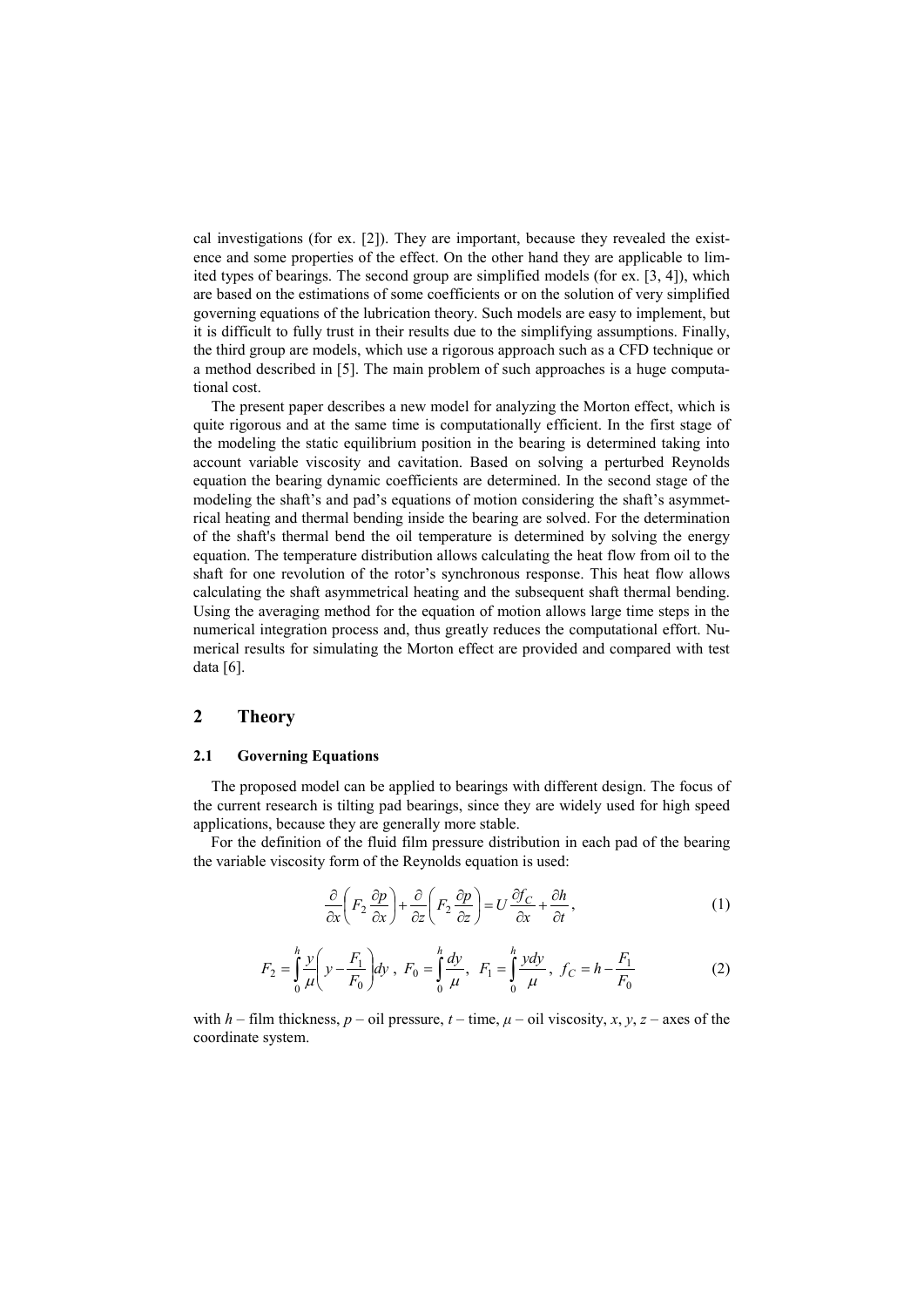cal investigations (for ex. [2]). They are important, because they revealed the existence and some properties of the effect. On the other hand they are applicable to limited types of bearings. The second group are simplified models (for ex. [3, 4]), which are based on the estimations of some coefficients or on the solution of very simplified governing equations of the lubrication theory. Such models are easy to implement, but it is difficult to fully trust in their results due to the simplifying assumptions. Finally, the third group are models, which use a rigorous approach such as a CFD technique or a method described in [5]. The main problem of such approaches is a huge computational cost.

The present paper describes a new model for analyzing the Morton effect, which is quite rigorous and at the same time is computationally efficient. In the first stage of the modeling the static equilibrium position in the bearing is determined taking into account variable viscosity and cavitation. Based on solving a perturbed Reynolds equation the bearing dynamic coefficients are determined. In the second stage of the modeling the shaft's and pad's equations of motion considering the shaft's asymmetrical heating and thermal bending inside the bearing are solved. For the determination of the shaft's thermal bend the oil temperature is determined by solving the energy equation. The temperature distribution allows calculating the heat flow from oil to the shaft for one revolution of the rotor's synchronous response. This heat flow allows calculating the shaft asymmetrical heating and the subsequent shaft thermal bending. Using the averaging method for the equation of motion allows large time steps in the numerical integration process and, thus greatly reduces the computational effort. Numerical results for simulating the Morton effect are provided and compared with test data [6].

# **2 Theory**

## **2.1 Governing Equations**

The proposed model can be applied to bearings with different design. The focus of the current research is tilting pad bearings, since they are widely used for high speed applications, because they are generally more stable.

For the definition of the fluid film pressure distribution in each pad of the bearing the variable viscosity form of the Reynolds equation is used:

$$
\frac{\partial}{\partial x}\left(F_2\frac{\partial p}{\partial x}\right) + \frac{\partial}{\partial z}\left(F_2\frac{\partial p}{\partial z}\right) = U\frac{\partial f_C}{\partial x} + \frac{\partial h}{\partial t},\tag{1}
$$

$$
F_2 = \int_0^h \frac{y}{\mu} \left( y - \frac{F_1}{F_0} \right) dy \, , \, F_0 = \int_0^h \frac{dy}{\mu} , \, F_1 = \int_0^h \frac{y dy}{\mu} , \, f_C = h - \frac{F_1}{F_0} \tag{2}
$$

with  $h$  – film thickness,  $p$  – oil pressure,  $t$  – time,  $\mu$  – oil viscosity,  $x, y, z$  – axes of the coordinate system.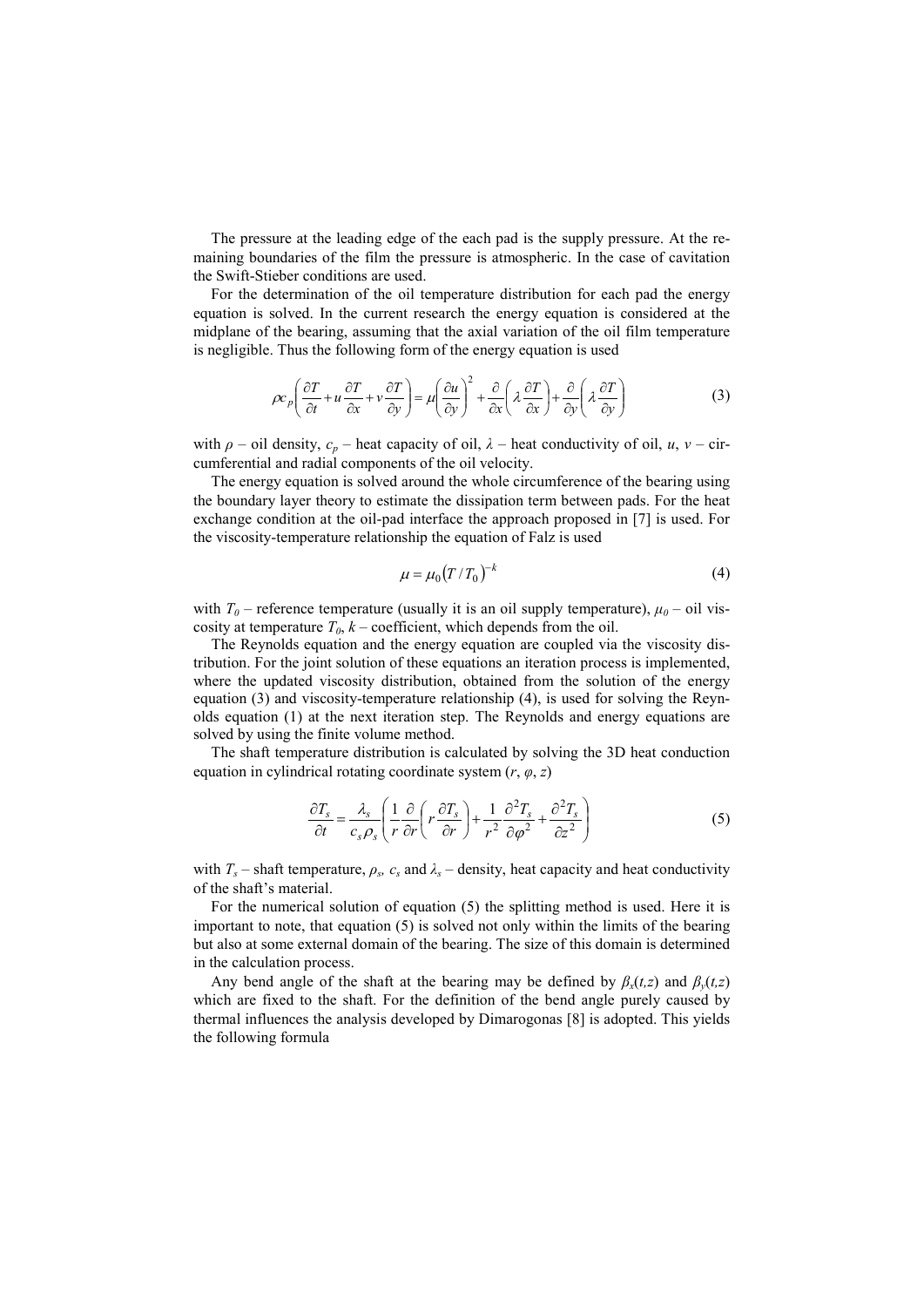The pressure at the leading edge of the each pad is the supply pressure. At the remaining boundaries of the film the pressure is atmospheric. In the case of cavitation the Swift-Stieber conditions are used.

For the determination of the oil temperature distribution for each pad the energy equation is solved. In the current research the energy equation is considered at the midplane of the bearing, assuming that the axial variation of the oil film temperature is negligible. Thus the following form of the energy equation is used

$$
\rho c_p \left( \frac{\partial T}{\partial t} + u \frac{\partial T}{\partial x} + v \frac{\partial T}{\partial y} \right) = \mu \left( \frac{\partial u}{\partial y} \right)^2 + \frac{\partial}{\partial x} \left( \lambda \frac{\partial T}{\partial x} \right) + \frac{\partial}{\partial y} \left( \lambda \frac{\partial T}{\partial y} \right)
$$
(3)

with  $\rho$  – oil density,  $c_p$  – heat capacity of oil,  $\lambda$  – heat conductivity of oil, *u*, *v* – circumferential and radial components of the oil velocity.

The energy equation is solved around the whole circumference of the bearing using the boundary layer theory to estimate the dissipation term between pads. For the heat exchange condition at the oil-pad interface the approach proposed in [7] is used. For the viscosity-temperature relationship the equation of Falz is used

$$
\mu = \mu_0 \left( T / T_0 \right)^{-k} \tag{4}
$$

with  $T_0$  – reference temperature (usually it is an oil supply temperature),  $\mu_0$  – oil viscosity at temperature  $T_0$ ,  $k$  – coefficient, which depends from the oil.

The Reynolds equation and the energy equation are coupled via the viscosity distribution. For the joint solution of these equations an iteration process is implemented, where the updated viscosity distribution, obtained from the solution of the energy equation (3) and viscosity-temperature relationship (4), is used for solving the Reynolds equation (1) at the next iteration step. The Reynolds and energy equations are solved by using the finite volume method.

The shaft temperature distribution is calculated by solving the 3D heat conduction equation in cylindrical rotating coordinate system  $(r, \varphi, z)$ 

$$
\frac{\partial T_s}{\partial t} = \frac{\lambda_s}{c_s \rho_s} \left( \frac{1}{r} \frac{\partial}{\partial r} \left( r \frac{\partial T_s}{\partial r} \right) + \frac{1}{r^2} \frac{\partial^2 T_s}{\partial \varphi^2} + \frac{\partial^2 T_s}{\partial z^2} \right)
$$
(5)

with  $T_s$  – shaft temperature,  $\rho_s$ ,  $c_s$  and  $\lambda_s$  – density, heat capacity and heat conductivity of the shaft's material.

For the numerical solution of equation (5) the splitting method is used. Here it is important to note, that equation (5) is solved not only within the limits of the bearing but also at some external domain of the bearing. The size of this domain is determined in the calculation process.

Any bend angle of the shaft at the bearing may be defined by  $\beta_x(t,z)$  and  $\beta_y(t,z)$ which are fixed to the shaft. For the definition of the bend angle purely caused by thermal influences the analysis developed by Dimarogonas [8] is adopted. This yields the following formula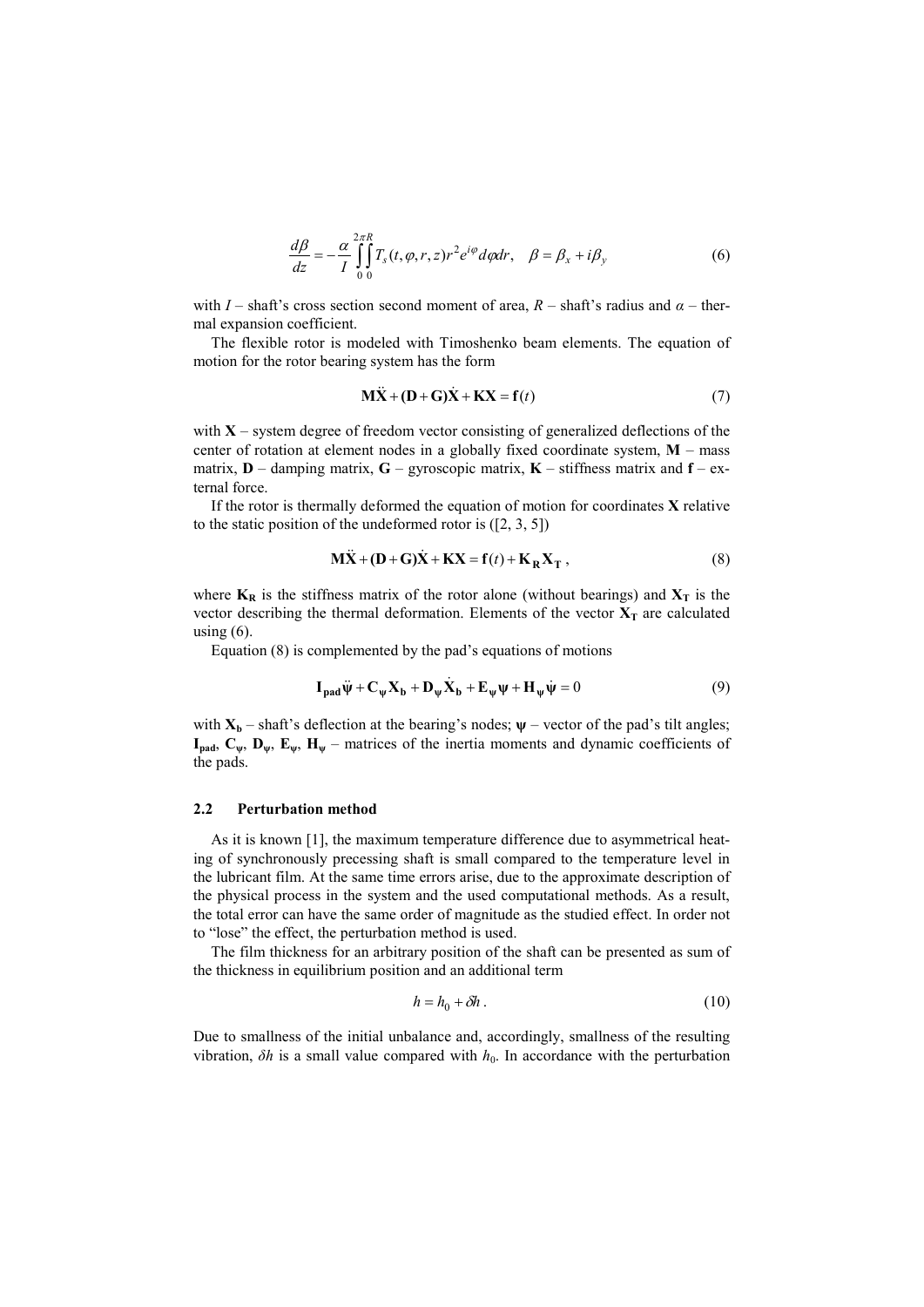$$
\frac{d\beta}{dz} = -\frac{\alpha}{I} \int_{0}^{2\pi} \int_{0}^{R} T_s(t, \varphi, r, z) r^2 e^{i\varphi} d\varphi dr, \quad \beta = \beta_x + i\beta_y \tag{6}
$$

with *I* – shaft's cross section second moment of area,  $R$  – shaft's radius and  $\alpha$  – thermal expansion coefficient.

The flexible rotor is modeled with Timoshenko beam elements. The equation of motion for the rotor bearing system has the form

$$
\mathbf{M}\ddot{\mathbf{X}} + (\mathbf{D} + \mathbf{G})\dot{\mathbf{X}} + \mathbf{K}\mathbf{X} = \mathbf{f}(t)
$$
 (7)

with  $X$  – system degree of freedom vector consisting of generalized deflections of the center of rotation at element nodes in a globally fixed coordinate system, **M** – mass matrix, **D** – damping matrix, **G** – gyroscopic matrix, **K** – stiffness matrix and **f** – external force.

If the rotor is thermally deformed the equation of motion for coordinates **X** relative to the static position of the undeformed rotor is ([2, 3, 5])

$$
\mathbf{M}\ddot{\mathbf{X}} + (\mathbf{D} + \mathbf{G})\dot{\mathbf{X}} + \mathbf{K}\mathbf{X} = \mathbf{f}(t) + \mathbf{K}_{\mathbf{R}}\mathbf{X}_{\mathbf{T}} ,
$$
 (8)

where  $K_R$  is the stiffness matrix of the rotor alone (without bearings) and  $X_T$  is the vector describing the thermal deformation. Elements of the vector  $X_T$  are calculated using  $(6)$ .

Equation (8) is complemented by the pad's equations of motions

$$
\mathbf{I}_{\mathbf{pad}}\ddot{\mathbf{\psi}} + \mathbf{C}_{\mathbf{\psi}}\mathbf{X}_{\mathbf{b}} + \mathbf{D}_{\mathbf{\psi}}\dot{\mathbf{X}}_{\mathbf{b}} + \mathbf{E}_{\mathbf{\psi}}\mathbf{\psi} + \mathbf{H}_{\mathbf{\psi}}\dot{\mathbf{\psi}} = 0
$$
 (9)

with  $X_b$  – shaft's deflection at the bearing's nodes;  $\psi$  – vector of the pad's tilt angles;  $I_{pad}$ ,  $C_{\psi}$ ,  $D_{\psi}$ ,  $E_{\psi}$ ,  $H_{\psi}$  – matrices of the inertia moments and dynamic coefficients of the pads.

#### **2.2 Perturbation method**

As it is known [1], the maximum temperature difference due to asymmetrical heating of synchronously precessing shaft is small compared to the temperature level in the lubricant film. At the same time errors arise, due to the approximate description of the physical process in the system and the used computational methods. As a result, the total error can have the same order of magnitude as the studied effect. In order not to "lose" the effect, the perturbation method is used.

The film thickness for an arbitrary position of the shaft can be presented as sum of the thickness in equilibrium position and an additional term

$$
h = h_0 + \delta h \tag{10}
$$

Due to smallness of the initial unbalance and, accordingly, smallness of the resulting vibration,  $\delta h$  is a small value compared with  $h_0$ . In accordance with the perturbation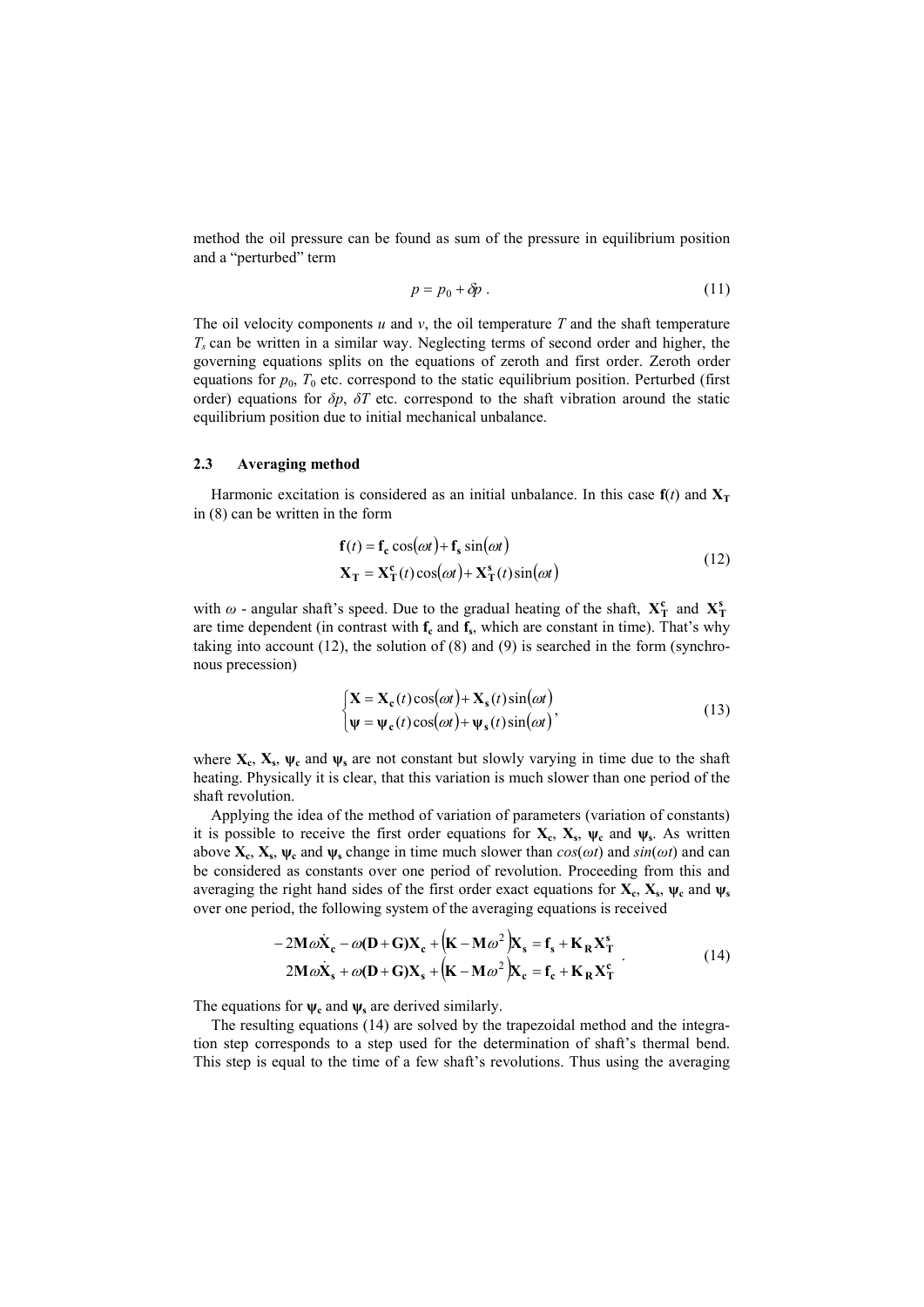method the oil pressure can be found as sum of the pressure in equilibrium position and a "perturbed" term

$$
p = p_0 + \delta p \tag{11}
$$

The oil velocity components  $u$  and  $v$ , the oil temperature  $T$  and the shaft temperature *Ts* can be written in a similar way. Neglecting terms of second order and higher, the governing equations splits on the equations of zeroth and first order. Zeroth order equations for  $p_0$ ,  $T_0$  etc. correspond to the static equilibrium position. Perturbed (first order) equations for *δp*, *δT* etc. correspond to the shaft vibration around the static equilibrium position due to initial mechanical unbalance.

#### **2.3 Averaging method**

Harmonic excitation is considered as an initial unbalance. In this case  $f(t)$  and  $X_T$ in (8) can be written in the form

$$
\mathbf{f}(t) = \mathbf{f}_{\mathbf{c}} \cos(\omega t) + \mathbf{f}_{\mathbf{s}} \sin(\omega t)
$$
  
\n
$$
\mathbf{X}_{\mathbf{T}} = \mathbf{X}_{\mathbf{T}}^{\mathbf{c}}(t) \cos(\omega t) + \mathbf{X}_{\mathbf{T}}^{\mathbf{s}}(t) \sin(\omega t)
$$
\n(12)

with  $\omega$  - angular shaft's speed. Due to the gradual heating of the shaft,  $X_T^c$  and  $X_T^s$ are time dependent (in contrast with  $f_c$  and  $f_s$ , which are constant in time). That's why taking into account (12), the solution of (8) and (9) is searched in the form (synchronous precession)

$$
\begin{cases}\n\mathbf{X} = \mathbf{X}_{c}(t)\cos(\omega t) + \mathbf{X}_{s}(t)\sin(\omega t) \\
\psi = \psi_{c}(t)\cos(\omega t) + \psi_{s}(t)\sin(\omega t)\n\end{cases}
$$
\n(13)

where  $X_c$ ,  $X_s$ ,  $\psi_c$  and  $\psi_s$  are not constant but slowly varying in time due to the shaft heating. Physically it is clear, that this variation is much slower than one period of the shaft revolution.

Applying the idea of the method of variation of parameters (variation of constants) it is possible to receive the first order equations for  $X_c$ ,  $X_s$ ,  $\psi_c$  and  $\psi_s$ . As written above  $X_c$ ,  $X_s$ ,  $\psi_c$  and  $\psi_s$  change in time much slower than  $cos(\omega t)$  and  $sin(\omega t)$  and can be considered as constants over one period of revolution. Proceeding from this and averaging the right hand sides of the first order exact equations for  $X_c$ ,  $X_s$ ,  $\psi_c$  and  $\psi_s$ over one period, the following system of the averaging equations is received

 $\overline{1}$ 

$$
-2M\omega\dot{\mathbf{X}}_{c} - \omega(\mathbf{D} + \mathbf{G})\mathbf{X}_{c} + (\mathbf{K} - \mathbf{M}\omega^{2})\mathbf{X}_{s} = \mathbf{f}_{s} + \mathbf{K}_{R}\mathbf{X}_{T}^{s}
$$
  
2M\omega\dot{\mathbf{X}}\_{s} + \omega(\mathbf{D} + \mathbf{G})\mathbf{X}\_{s} + (\mathbf{K} - \mathbf{M}\omega^{2})\mathbf{X}\_{c} = \mathbf{f}\_{c} + \mathbf{K}\_{R}\mathbf{X}\_{T}^{c} (14)

The equations for  $\psi_c$  and  $\psi_s$  are derived similarly.

The resulting equations (14) are solved by the trapezoidal method and the integration step corresponds to a step used for the determination of shaft's thermal bend. This step is equal to the time of a few shaft's revolutions. Thus using the averaging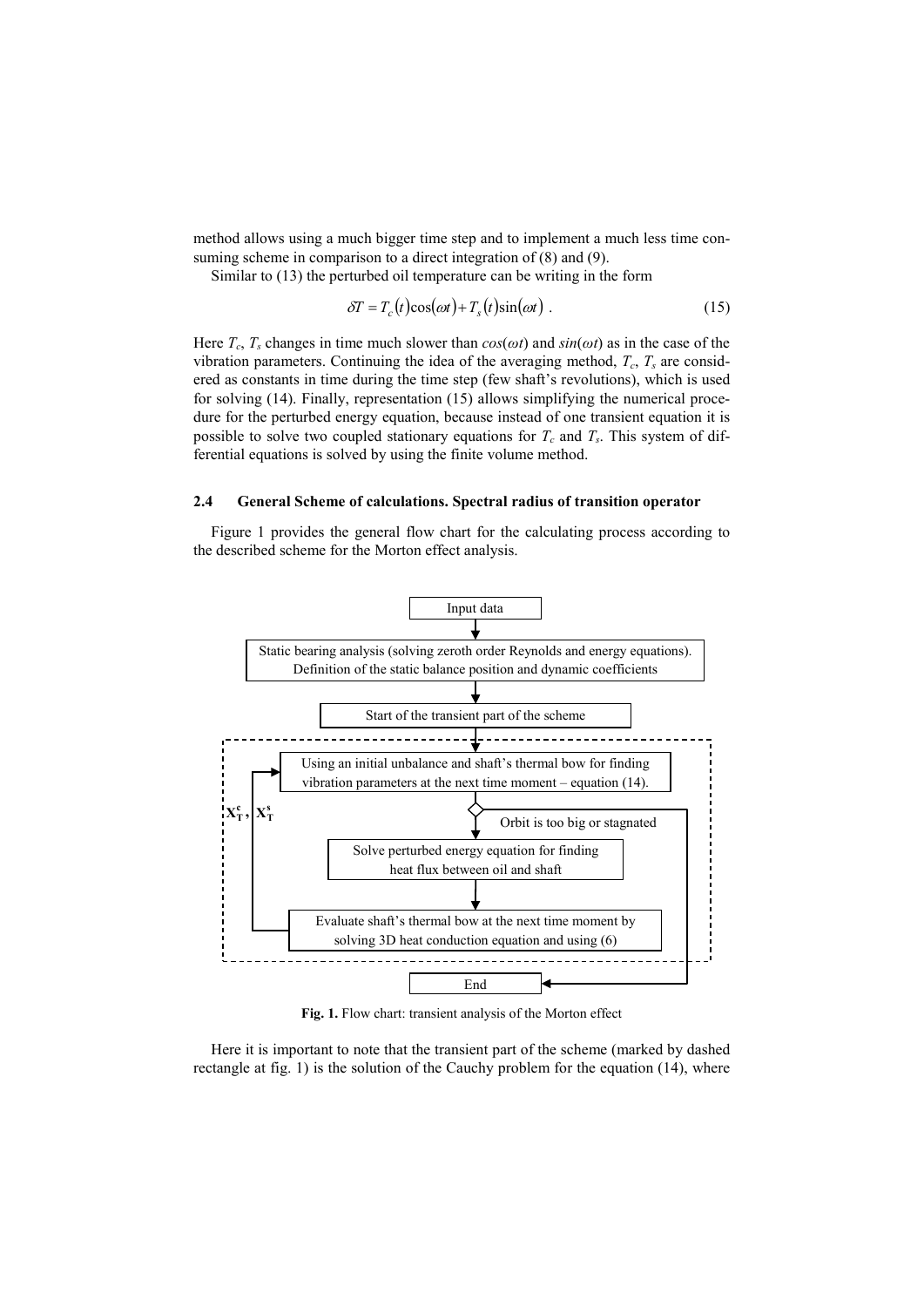method allows using a much bigger time step and to implement a much less time consuming scheme in comparison to a direct integration of (8) and (9).

Similar to (13) the perturbed oil temperature can be writing in the form

$$
\delta T = T_c(t)\cos(\omega t) + T_s(t)\sin(\omega t) \tag{15}
$$

Here  $T_c$ ,  $T_s$  changes in time much slower than  $cos(\omega t)$  and  $sin(\omega t)$  as in the case of the vibration parameters. Continuing the idea of the averaging method,  $T_c$ ,  $T_s$  are considered as constants in time during the time step (few shaft's revolutions), which is used for solving (14). Finally, representation (15) allows simplifying the numerical procedure for the perturbed energy equation, because instead of one transient equation it is possible to solve two coupled stationary equations for  $T_c$  and  $T_s$ . This system of differential equations is solved by using the finite volume method.

## **2.4 General Scheme of calculations. Spectral radius of transition operator**

Figure 1 provides the general flow chart for the calculating process according to the described scheme for the Morton effect analysis.



**Fig. 1.** Flow chart: transient analysis of the Morton effect

Here it is important to note that the transient part of the scheme (marked by dashed rectangle at fig. 1) is the solution of the Cauchy problem for the equation (14), where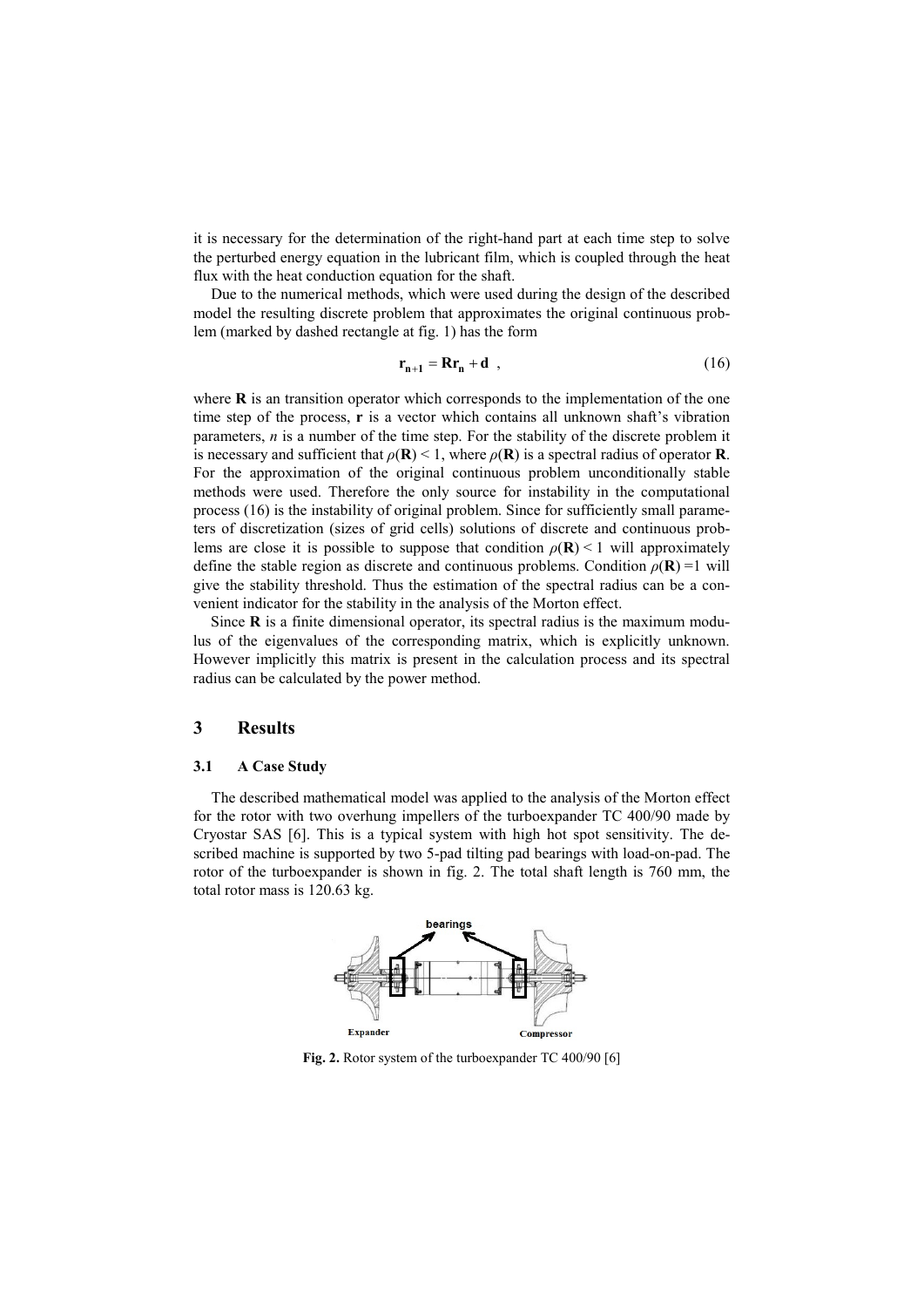it is necessary for the determination of the right-hand part at each time step to solve the perturbed energy equation in the lubricant film, which is coupled through the heat flux with the heat conduction equation for the shaft.

Due to the numerical methods, which were used during the design of the described model the resulting discrete problem that approximates the original continuous problem (marked by dashed rectangle at fig. 1) has the form

$$
\mathbf{r}_{n+1} = \mathbf{R}\mathbf{r}_n + \mathbf{d} \quad , \tag{16}
$$

where **R** is an transition operator which corresponds to the implementation of the one time step of the process, **r** is a vector which contains all unknown shaft's vibration parameters, *n* is a number of the time step. For the stability of the discrete problem it is necessary and sufficient that  $\rho(\mathbf{R}) < 1$ , where  $\rho(\mathbf{R})$  is a spectral radius of operator **R**. For the approximation of the original continuous problem unconditionally stable methods were used. Therefore the only source for instability in the computational process (16) is the instability of original problem. Since for sufficiently small parameters of discretization (sizes of grid cells) solutions of discrete and continuous problems are close it is possible to suppose that condition  $\rho(\mathbf{R}) \leq 1$  will approximately define the stable region as discrete and continuous problems. Condition  $\rho(\mathbf{R}) = 1$  will give the stability threshold. Thus the estimation of the spectral radius can be a convenient indicator for the stability in the analysis of the Morton effect.

Since  $\bf{R}$  is a finite dimensional operator, its spectral radius is the maximum modulus of the eigenvalues of the corresponding matrix, which is explicitly unknown. However implicitly this matrix is present in the calculation process and its spectral radius can be calculated by the power method.

# **3 Results**

#### **3.1 A Case Study**

The described mathematical model was applied to the analysis of the Morton effect for the rotor with two overhung impellers of the turboexpander TC 400/90 made by Cryostar SAS [6]. This is a typical system with high hot spot sensitivity. The described machine is supported by two 5-pad tilting pad bearings with load-on-pad. The rotor of the turboexpander is shown in fig. 2. The total shaft length is 760 mm, the total rotor mass is 120.63 kg.



**Fig. 2.** Rotor system of the turboexpander TC 400/90 [6]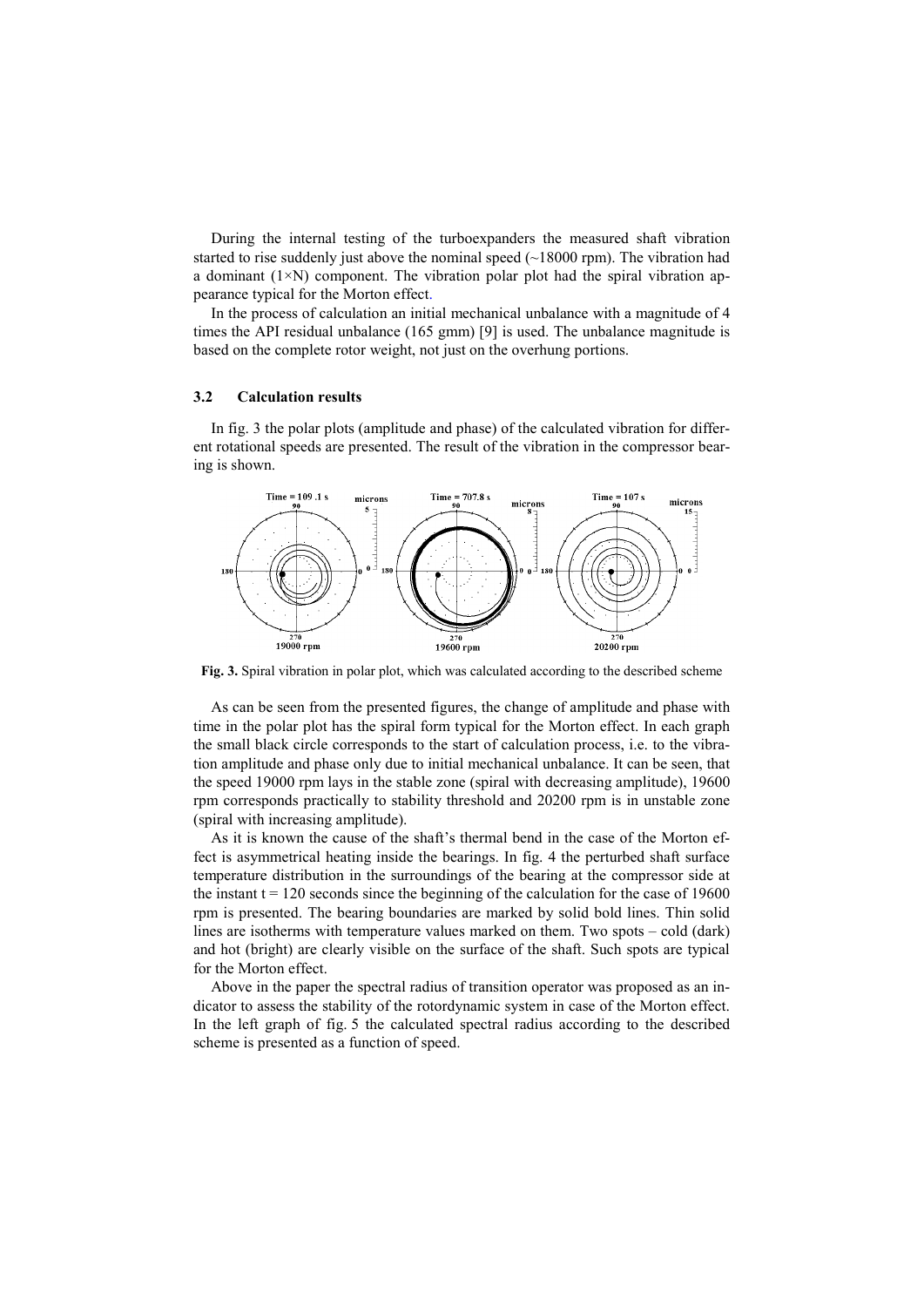During the internal testing of the turboexpanders the measured shaft vibration started to rise suddenly just above the nominal speed  $(-18000$  rpm). The vibration had a dominant  $(1 \times N)$  component. The vibration polar plot had the spiral vibration appearance typical for the Morton effect.

In the process of calculation an initial mechanical unbalance with a magnitude of 4 times the API residual unbalance (165 gmm) [9] is used. The unbalance magnitude is based on the complete rotor weight, not just on the overhung portions.

## **3.2 Calculation results**

In fig. 3 the polar plots (amplitude and phase) of the calculated vibration for different rotational speeds are presented. The result of the vibration in the compressor bearing is shown.



**Fig. 3.** Spiral vibration in polar plot, which was calculated according to the described scheme

As can be seen from the presented figures, the change of amplitude and phase with time in the polar plot has the spiral form typical for the Morton effect. In each graph the small black circle corresponds to the start of calculation process, i.e. to the vibration amplitude and phase only due to initial mechanical unbalance. It can be seen, that the speed 19000 rpm lays in the stable zone (spiral with decreasing amplitude), 19600 rpm corresponds practically to stability threshold and 20200 rpm is in unstable zone (spiral with increasing amplitude).

As it is known the cause of the shaft's thermal bend in the case of the Morton effect is asymmetrical heating inside the bearings. In fig. 4 the perturbed shaft surface temperature distribution in the surroundings of the bearing at the compressor side at the instant  $t = 120$  seconds since the beginning of the calculation for the case of 19600 rpm is presented. The bearing boundaries are marked by solid bold lines. Thin solid lines are isotherms with temperature values marked on them. Two spots – cold (dark) and hot (bright) are clearly visible on the surface of the shaft. Such spots are typical for the Morton effect.

Above in the paper the spectral radius of transition operator was proposed as an indicator to assess the stability of the rotordynamic system in case of the Morton effect. In the left graph of fig. 5 the calculated spectral radius according to the described scheme is presented as a function of speed.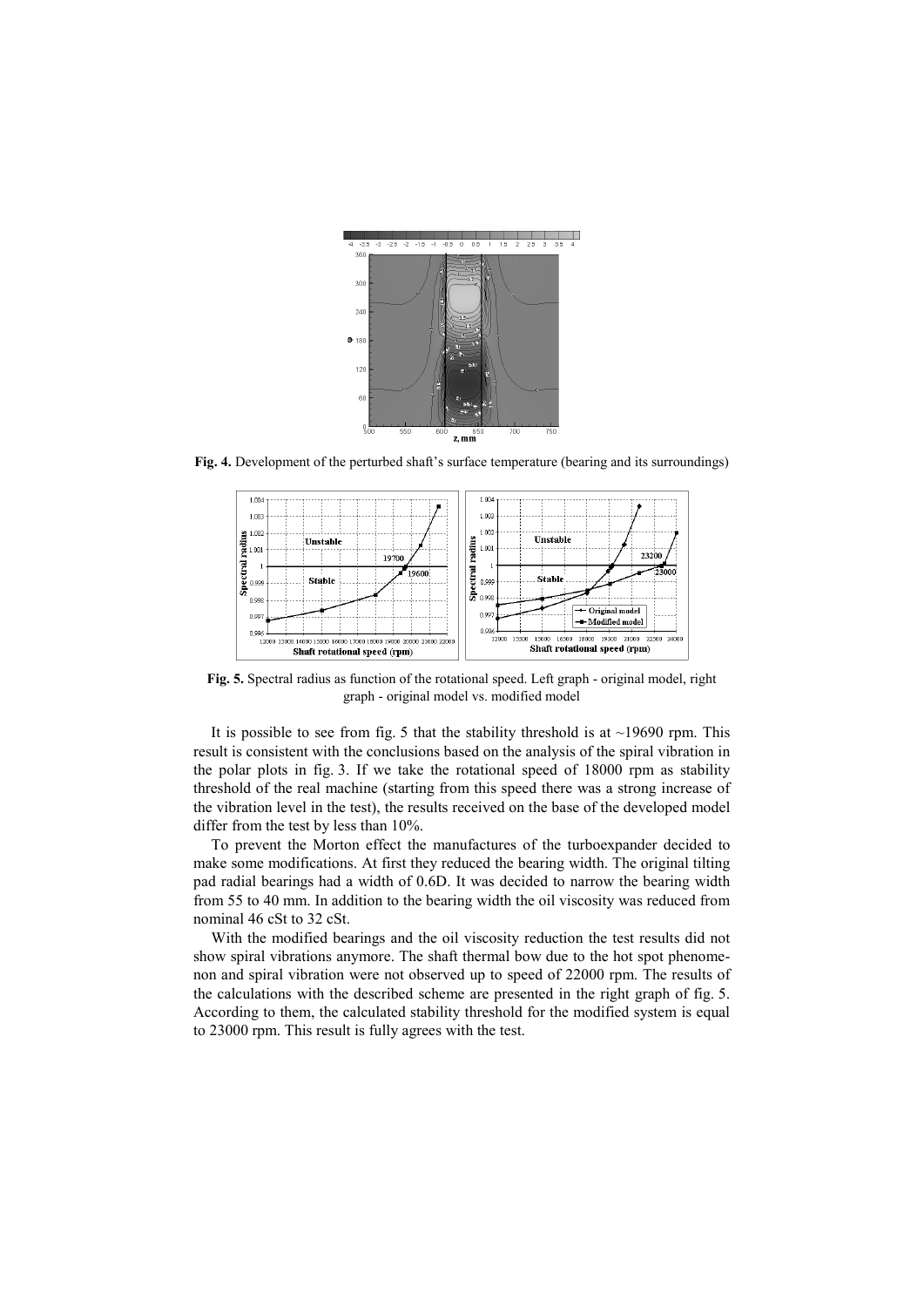

**Fig. 4.** Development of the perturbed shaft's surface temperature (bearing and its surroundings)



**Fig. 5.** Spectral radius as function of the rotational speed. Left graph - original model, right graph - original model vs. modified model

It is possible to see from fig. 5 that the stability threshold is at  $\sim$ 19690 rpm. This result is consistent with the conclusions based on the analysis of the spiral vibration in the polar plots in fig. 3. If we take the rotational speed of 18000 rpm as stability threshold of the real machine (starting from this speed there was a strong increase of the vibration level in the test), the results received on the base of the developed model differ from the test by less than 10%.

To prevent the Morton effect the manufactures of the turboexpander decided to make some modifications. At first they reduced the bearing width. The original tilting pad radial bearings had a width of 0.6D. It was decided to narrow the bearing width from 55 to 40 mm. In addition to the bearing width the oil viscosity was reduced from nominal 46 cSt to 32 cSt.

With the modified bearings and the oil viscosity reduction the test results did not show spiral vibrations anymore. The shaft thermal bow due to the hot spot phenomenon and spiral vibration were not observed up to speed of 22000 rpm. The results of the calculations with the described scheme are presented in the right graph of fig. 5. According to them, the calculated stability threshold for the modified system is equal to 23000 rpm. This result is fully agrees with the test.